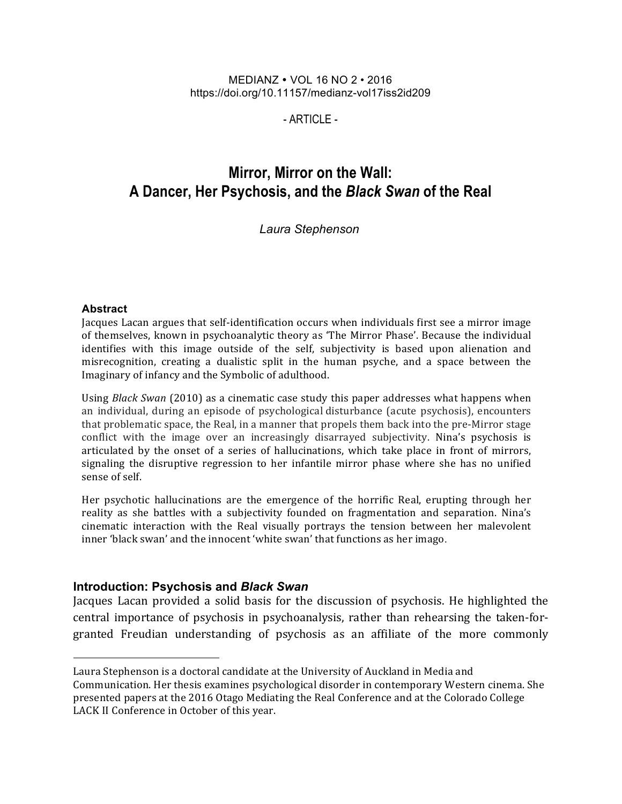#### MEDIANZ VOL 16 NO 2 • 2016 https://doi.org/10.11157/medianz-vol17iss2id209

- ARTICLE -

# **Mirror, Mirror on the Wall: A Dancer, Her Psychosis, and the** *Black Swan* **of the Real**

#### *Laura Stephenson*

#### **Abstract**

Jacques Lacan argues that self-identification occurs when individuals first see a mirror image of themselves, known in psychoanalytic theory as 'The Mirror Phase'. Because the individual identifies with this image outside of the self, subjectivity is based upon alienation and misrecognition, creating a dualistic split in the human psyche, and a space between the Imaginary of infancy and the Symbolic of adulthood.

Using *Black Swan* (2010) as a cinematic case study this paper addresses what happens when an individual, during an episode of psychological disturbance (acute psychosis), encounters that problematic space, the Real, in a manner that propels them back into the pre-Mirror stage conflict with the image over an increasingly disarrayed subjectivity. Nina's psychosis is articulated by the onset of a series of hallucinations, which take place in front of mirrors, signaling the disruptive regression to her infantile mirror phase where she has no unified sense of self.

Her psychotic hallucinations are the emergence of the horrific Real, erupting through her reality as she battles with a subjectivity founded on fragmentation and separation. Nina's cinematic interaction with the Real visually portrays the tension between her malevolent inner 'black swan' and the innocent 'white swan' that functions as her imago.

#### **Introduction: Psychosis and** *Black Swan*

Jacques Lacan provided a solid basis for the discussion of psychosis. He highlighted the central importance of psychosis in psychoanalysis, rather than rehearsing the taken-forgranted Freudian understanding of psychosis as an affiliate of the more commonly

Laura Stephenson is a doctoral candidate at the University of Auckland in Media and Communication. Her thesis examines psychological disorder in contemporary Western cinema. She presented papers at the 2016 Otago Mediating the Real Conference and at the Colorado College LACK II Conference in October of this year.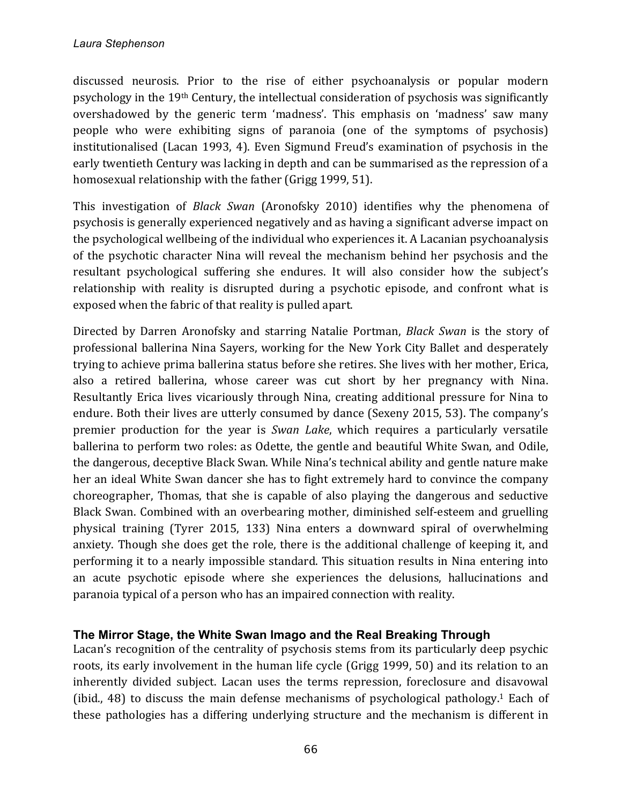discussed neurosis. Prior to the rise of either psychoanalysis or popular modern psychology in the  $19<sup>th</sup>$  Century, the intellectual consideration of psychosis was significantly overshadowed by the generic term 'madness'. This emphasis on 'madness' saw many people who were exhibiting signs of paranoia (one of the symptoms of psychosis) institutionalised (Lacan 1993, 4). Even Sigmund Freud's examination of psychosis in the early twentieth Century was lacking in depth and can be summarised as the repression of a homosexual relationship with the father (Grigg 1999, 51).

This investigation of *Black Swan* (Aronofsky 2010) identifies why the phenomena of psychosis is generally experienced negatively and as having a significant adverse impact on the psychological wellbeing of the individual who experiences it. A Lacanian psychoanalysis of the psychotic character Nina will reveal the mechanism behind her psychosis and the resultant psychological suffering she endures. It will also consider how the subject's relationship with reality is disrupted during a psychotic episode, and confront what is exposed when the fabric of that reality is pulled apart.

Directed by Darren Aronofsky and starring Natalie Portman, *Black Swan* is the story of professional ballerina Nina Sayers, working for the New York City Ballet and desperately trying to achieve prima ballerina status before she retires. She lives with her mother, Erica, also a retired ballerina, whose career was cut short by her pregnancy with Nina. Resultantly Erica lives vicariously through Nina, creating additional pressure for Nina to endure. Both their lives are utterly consumed by dance (Sexeny 2015, 53). The company's premier production for the year is *Swan Lake*, which requires a particularly versatile ballerina to perform two roles: as Odette, the gentle and beautiful White Swan, and Odile, the dangerous, deceptive Black Swan. While Nina's technical ability and gentle nature make her an ideal White Swan dancer she has to fight extremely hard to convince the company choreographer, Thomas, that she is capable of also playing the dangerous and seductive Black Swan. Combined with an overbearing mother, diminished self-esteem and gruelling physical training (Tyrer 2015, 133) Nina enters a downward spiral of overwhelming anxiety. Though she does get the role, there is the additional challenge of keeping it, and performing it to a nearly impossible standard. This situation results in Nina entering into an acute psychotic episode where she experiences the delusions, hallucinations and paranoia typical of a person who has an impaired connection with reality.

## **The Mirror Stage, the White Swan Imago and the Real Breaking Through**

Lacan's recognition of the centrality of psychosis stems from its particularly deep psychic roots, its early involvement in the human life cycle (Grigg 1999, 50) and its relation to an inherently divided subject. Lacan uses the terms repression, foreclosure and disavowal (ibid., 48) to discuss the main defense mechanisms of psychological pathology.<sup>1</sup> Each of these pathologies has a differing underlying structure and the mechanism is different in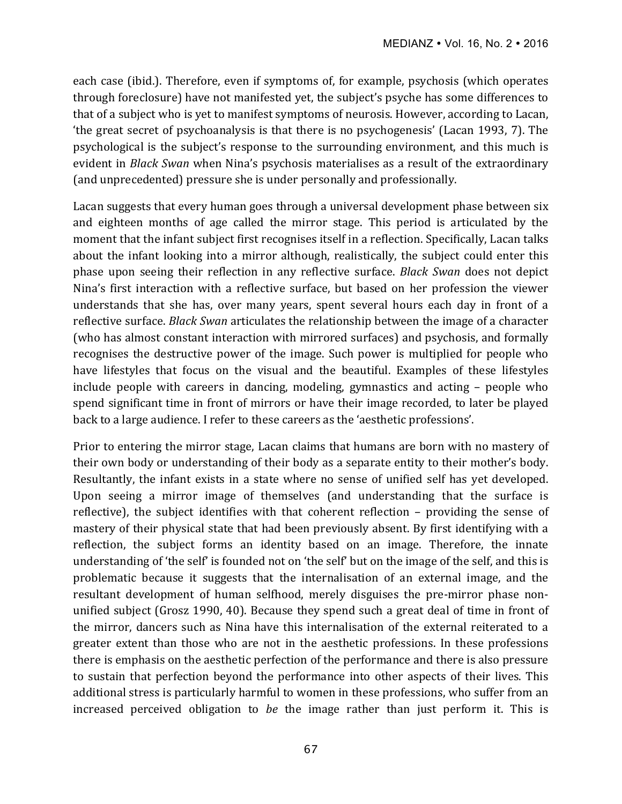each case (ibid.). Therefore, even if symptoms of, for example, psychosis (which operates through foreclosure) have not manifested yet, the subject's psyche has some differences to that of a subject who is yet to manifest symptoms of neurosis. However, according to Lacan, the great secret of psychoanalysis is that there is no psychogenesis' (Lacan 1993, 7). The psychological is the subject's response to the surrounding environment, and this much is evident in *Black Swan* when Nina's psychosis materialises as a result of the extraordinary (and unprecedented) pressure she is under personally and professionally.

Lacan suggests that every human goes through a universal development phase between six and eighteen months of age called the mirror stage. This period is articulated by the moment that the infant subject first recognises itself in a reflection. Specifically, Lacan talks about the infant looking into a mirror although, realistically, the subject could enter this phase upon seeing their reflection in any reflective surface. *Black Swan* does not depict Nina's first interaction with a reflective surface, but based on her profession the viewer understands that she has, over many years, spent several hours each day in front of a reflective surface. *Black Swan* articulates the relationship between the image of a character (who has almost constant interaction with mirrored surfaces) and psychosis, and formally recognises the destructive power of the image. Such power is multiplied for people who have lifestyles that focus on the visual and the beautiful. Examples of these lifestyles include people with careers in dancing, modeling, gymnastics and acting  $-$  people who spend significant time in front of mirrors or have their image recorded, to later be played back to a large audience. I refer to these careers as the 'aesthetic professions'.

Prior to entering the mirror stage, Lacan claims that humans are born with no mastery of their own body or understanding of their body as a separate entity to their mother's body. Resultantly, the infant exists in a state where no sense of unified self has yet developed. Upon seeing a mirror image of themselves (and understanding that the surface is reflective), the subject identifies with that coherent reflection  $-$  providing the sense of mastery of their physical state that had been previously absent. By first identifying with a reflection, the subject forms an identity based on an image. Therefore, the innate understanding of 'the self' is founded not on 'the self' but on the image of the self, and this is problematic because it suggests that the internalisation of an external image, and the resultant development of human selfhood, merely disguises the pre-mirror phase nonunified subject (Grosz 1990, 40). Because they spend such a great deal of time in front of the mirror, dancers such as Nina have this internalisation of the external reiterated to a greater extent than those who are not in the aesthetic professions. In these professions there is emphasis on the aesthetic perfection of the performance and there is also pressure to sustain that perfection beyond the performance into other aspects of their lives. This additional stress is particularly harmful to women in these professions, who suffer from an increased perceived obligation to *be* the image rather than just perform it. This is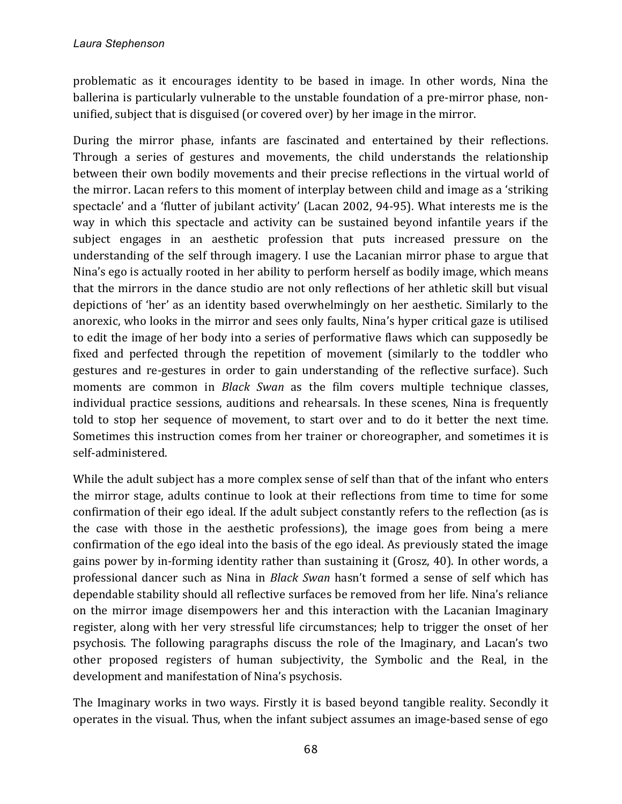problematic as it encourages identity to be based in image. In other words, Nina the ballerina is particularly vulnerable to the unstable foundation of a pre-mirror phase, nonunified, subject that is disguised (or covered over) by her image in the mirror.

During the mirror phase, infants are fascinated and entertained by their reflections. Through a series of gestures and movements, the child understands the relationship between their own bodily movements and their precise reflections in the virtual world of the mirror. Lacan refers to this moment of interplay between child and image as a 'striking spectacle' and a 'flutter of jubilant activity' (Lacan 2002, 94-95). What interests me is the way in which this spectacle and activity can be sustained beyond infantile years if the subject engages in an aesthetic profession that puts increased pressure on the understanding of the self through imagery. I use the Lacanian mirror phase to argue that Nina's ego is actually rooted in her ability to perform herself as bodily image, which means that the mirrors in the dance studio are not only reflections of her athletic skill but visual depictions of 'her' as an identity based overwhelmingly on her aesthetic. Similarly to the anorexic, who looks in the mirror and sees only faults, Nina's hyper critical gaze is utilised to edit the image of her body into a series of performative flaws which can supposedly be fixed and perfected through the repetition of movement (similarly to the toddler who gestures and re-gestures in order to gain understanding of the reflective surface). Such moments are common in *Black Swan* as the film covers multiple technique classes, individual practice sessions, auditions and rehearsals. In these scenes, Nina is frequently told to stop her sequence of movement, to start over and to do it better the next time. Sometimes this instruction comes from her trainer or choreographer, and sometimes it is self-administered. 

While the adult subject has a more complex sense of self than that of the infant who enters the mirror stage, adults continue to look at their reflections from time to time for some confirmation of their ego ideal. If the adult subject constantly refers to the reflection (as is the case with those in the aesthetic professions), the image goes from being a mere confirmation of the ego ideal into the basis of the ego ideal. As previously stated the image gains power by in-forming identity rather than sustaining it (Grosz, 40). In other words, a professional dancer such as Nina in *Black Swan* hasn't formed a sense of self which has dependable stability should all reflective surfaces be removed from her life. Nina's reliance on the mirror image disempowers her and this interaction with the Lacanian Imaginary register, along with her very stressful life circumstances; help to trigger the onset of her psychosis. The following paragraphs discuss the role of the Imaginary, and Lacan's two other proposed registers of human subjectivity, the Symbolic and the Real, in the development and manifestation of Nina's psychosis.

The Imaginary works in two ways. Firstly it is based beyond tangible reality. Secondly it operates in the visual. Thus, when the infant subject assumes an image-based sense of ego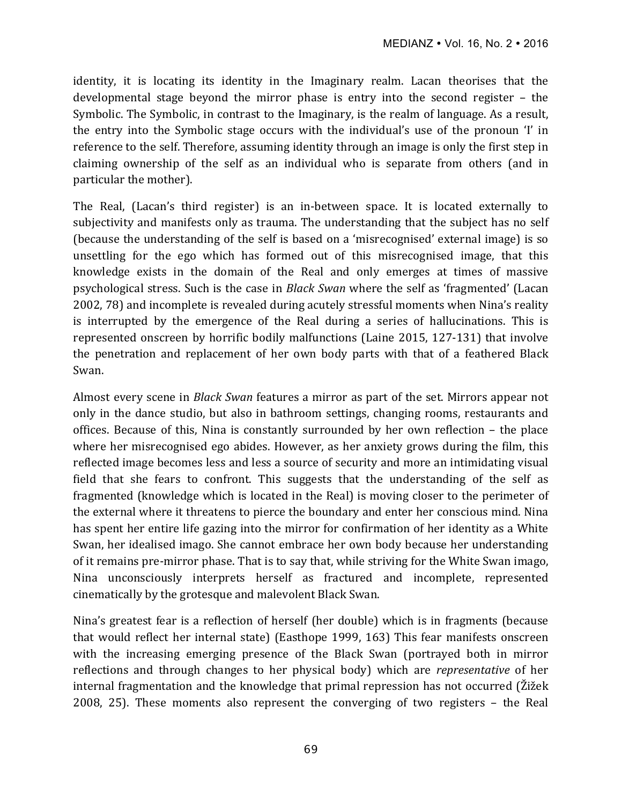identity, it is locating its identity in the Imaginary realm. Lacan theorises that the developmental stage beyond the mirror phase is entry into the second register  $-$  the Symbolic. The Symbolic, in contrast to the Imaginary, is the realm of language. As a result, the entry into the Symbolic stage occurs with the individual's use of the pronoun 'I' in reference to the self. Therefore, assuming identity through an image is only the first step in claiming ownership of the self as an individual who is separate from others (and in particular the mother).

The Real, (Lacan's third register) is an in-between space. It is located externally to subjectivity and manifests only as trauma. The understanding that the subject has no self (because the understanding of the self is based on a 'misrecognised' external image) is so unsettling for the ego which has formed out of this misrecognised image, that this knowledge exists in the domain of the Real and only emerges at times of massive psychological stress. Such is the case in *Black Swan* where the self as 'fragmented' (Lacan 2002, 78) and incomplete is revealed during acutely stressful moments when Nina's reality is interrupted by the emergence of the Real during a series of hallucinations. This is represented onscreen by horrific bodily malfunctions (Laine 2015, 127-131) that involve the penetration and replacement of her own body parts with that of a feathered Black Swan. 

Almost every scene in *Black Swan* features a mirror as part of the set. Mirrors appear not only in the dance studio, but also in bathroom settings, changing rooms, restaurants and offices. Because of this, Nina is constantly surrounded by her own reflection - the place where her misrecognised ego abides. However, as her anxiety grows during the film, this reflected image becomes less and less a source of security and more an intimidating visual field that she fears to confront. This suggests that the understanding of the self as fragmented (knowledge which is located in the Real) is moving closer to the perimeter of the external where it threatens to pierce the boundary and enter her conscious mind. Nina has spent her entire life gazing into the mirror for confirmation of her identity as a White Swan, her idealised imago. She cannot embrace her own body because her understanding of it remains pre-mirror phase. That is to say that, while striving for the White Swan imago, Nina unconsciously interprets herself as fractured and incomplete, represented cinematically by the grotesque and malevolent Black Swan.

Nina's greatest fear is a reflection of herself (her double) which is in fragments (because that would reflect her internal state) (Easthope 1999, 163) This fear manifests onscreen with the increasing emerging presence of the Black Swan (portrayed both in mirror reflections and through changes to her physical body) which are *representative* of her internal fragmentation and the knowledge that primal repression has not occurred (Žižek 2008, 25). These moments also represent the converging of two registers  $-$  the Real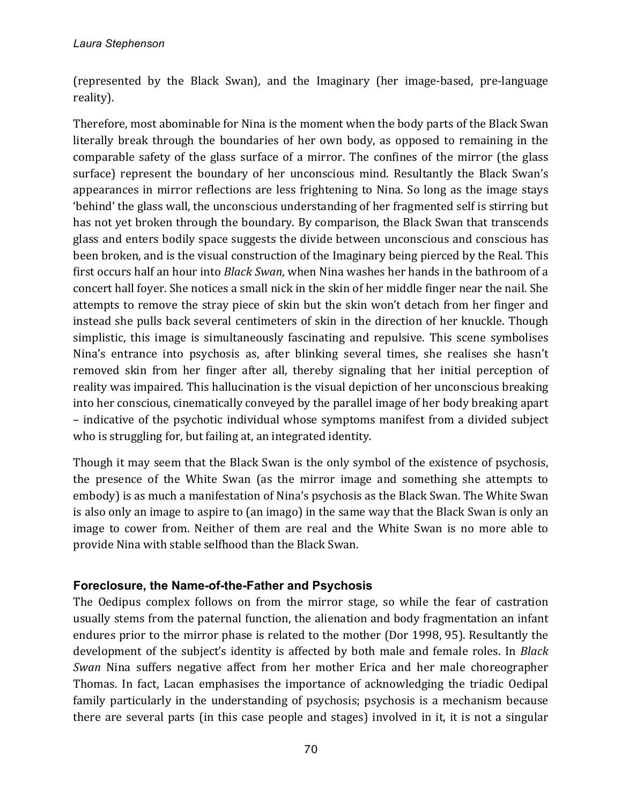(represented by the Black Swan), and the Imaginary (her image-based, pre-language reality).

Therefore, most abominable for Nina is the moment when the body parts of the Black Swan literally break through the boundaries of her own body, as opposed to remaining in the comparable safety of the glass surface of a mirror. The confines of the mirror (the glass surface) represent the boundary of her unconscious mind. Resultantly the Black Swan's appearances in mirror reflections are less frightening to Nina. So long as the image stays 'behind' the glass wall, the unconscious understanding of her fragmented self is stirring but has not yet broken through the boundary. By comparison, the Black Swan that transcends glass and enters bodily space suggests the divide between unconscious and conscious has been broken, and is the visual construction of the Imaginary being pierced by the Real. This first occurs half an hour into *Black Swan*, when Nina washes her hands in the bathroom of a concert hall foyer. She notices a small nick in the skin of her middle finger near the nail. She attempts to remove the stray piece of skin but the skin won't detach from her finger and instead she pulls back several centimeters of skin in the direction of her knuckle. Though simplistic, this image is simultaneously fascinating and repulsive. This scene symbolises Nina's entrance into psychosis as, after blinking several times, she realises she hasn't removed skin from her finger after all, thereby signaling that her initial perception of reality was impaired. This hallucination is the visual depiction of her unconscious breaking into her conscious, cinematically conveyed by the parallel image of her body breaking apart – indicative of the psychotic individual whose symptoms manifest from a divided subject who is struggling for, but failing at, an integrated identity.

Though it may seem that the Black Swan is the only symbol of the existence of psychosis, the presence of the White Swan (as the mirror image and something she attempts to embody) is as much a manifestation of Nina's psychosis as the Black Swan. The White Swan is also only an image to aspire to (an imago) in the same way that the Black Swan is only an image to cower from. Neither of them are real and the White Swan is no more able to provide Nina with stable selfhood than the Black Swan.

### **Foreclosure, the Name-of-the-Father and Psychosis**

The Oedipus complex follows on from the mirror stage, so while the fear of castration usually stems from the paternal function, the alienation and body fragmentation an infant endures prior to the mirror phase is related to the mother (Dor 1998, 95). Resultantly the development of the subject's identity is affected by both male and female roles. In *Black Swan* Nina suffers negative affect from her mother Erica and her male choreographer Thomas. In fact, Lacan emphasises the importance of acknowledging the triadic Oedipal family particularly in the understanding of psychosis; psychosis is a mechanism because there are several parts (in this case people and stages) involved in it, it is not a singular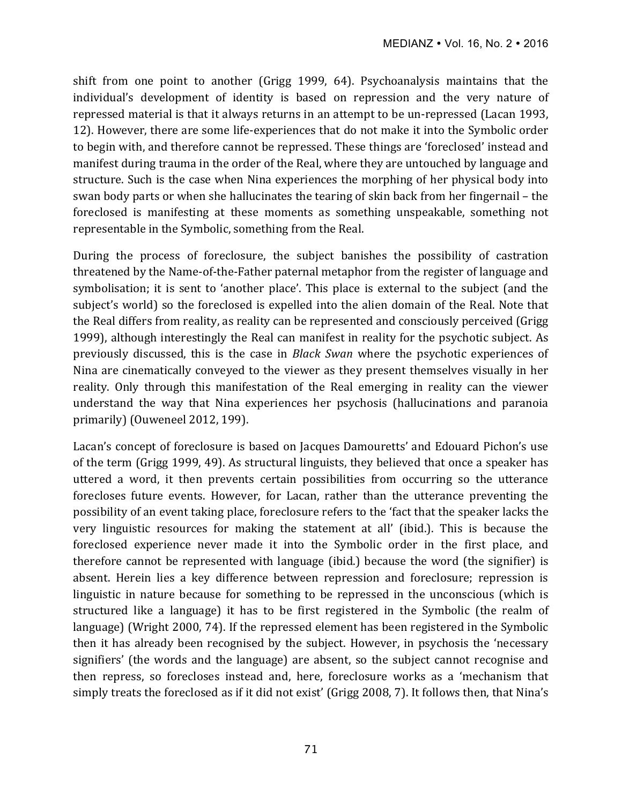shift from one point to another (Grigg 1999, 64). Psychoanalysis maintains that the individual's development of identity is based on repression and the very nature of repressed material is that it always returns in an attempt to be un-repressed (Lacan 1993, 12). However, there are some life-experiences that do not make it into the Symbolic order to begin with, and therefore cannot be repressed. These things are 'foreclosed' instead and manifest during trauma in the order of the Real, where they are untouched by language and structure. Such is the case when Nina experiences the morphing of her physical body into swan body parts or when she hallucinates the tearing of skin back from her fingernail – the foreclosed is manifesting at these moments as something unspeakable, something not representable in the Symbolic, something from the Real.

During the process of foreclosure, the subject banishes the possibility of castration threatened by the Name-of-the-Father paternal metaphor from the register of language and symbolisation; it is sent to 'another place'. This place is external to the subject (and the subject's world) so the foreclosed is expelled into the alien domain of the Real. Note that the Real differs from reality, as reality can be represented and consciously perceived (Grigg) 1999), although interestingly the Real can manifest in reality for the psychotic subject. As previously discussed, this is the case in *Black Swan* where the psychotic experiences of Nina are cinematically conveyed to the viewer as they present themselves visually in her reality. Only through this manifestation of the Real emerging in reality can the viewer understand the way that Nina experiences her psychosis (hallucinations and paranoia primarily) (Ouweneel 2012, 199).

Lacan's concept of foreclosure is based on Jacques Damouretts' and Edouard Pichon's use of the term (Grigg 1999, 49). As structural linguists, they believed that once a speaker has uttered a word, it then prevents certain possibilities from occurring so the utterance forecloses future events. However, for Lacan, rather than the utterance preventing the possibility of an event taking place, foreclosure refers to the 'fact that the speaker lacks the very linguistic resources for making the statement at all' (ibid.). This is because the foreclosed experience never made it into the Symbolic order in the first place, and therefore cannot be represented with language (ibid.) because the word (the signifier) is absent. Herein lies a key difference between repression and foreclosure; repression is linguistic in nature because for something to be repressed in the unconscious (which is structured like a language) it has to be first registered in the Symbolic (the realm of language) (Wright 2000, 74). If the repressed element has been registered in the Symbolic then it has already been recognised by the subject. However, in psychosis the 'necessary signifiers' (the words and the language) are absent, so the subject cannot recognise and then repress, so forecloses instead and, here, foreclosure works as a 'mechanism that simply treats the foreclosed as if it did not exist' (Grigg 2008, 7). It follows then, that Nina's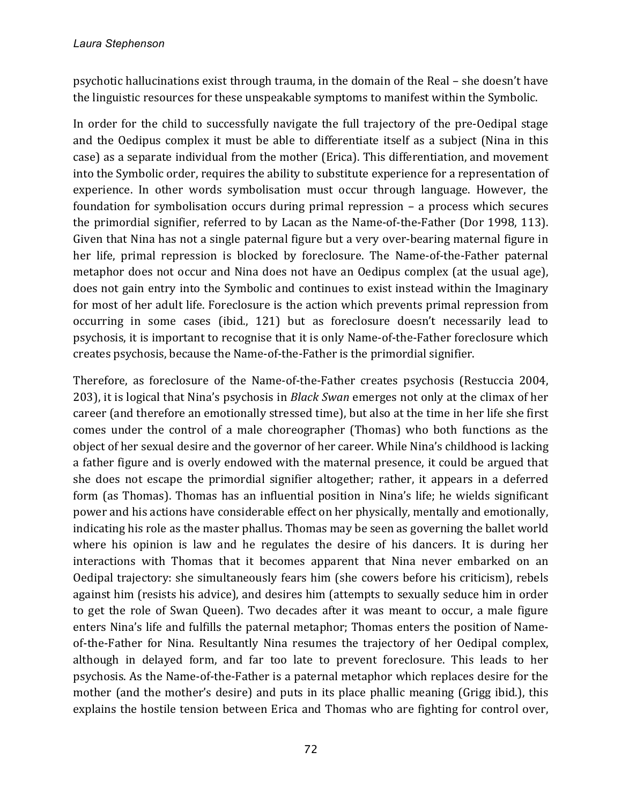psychotic hallucinations exist through trauma, in the domain of the Real – she doesn't have the linguistic resources for these unspeakable symptoms to manifest within the Symbolic.

In order for the child to successfully navigate the full trajectory of the pre-Oedipal stage and the Oedipus complex it must be able to differentiate itself as a subject (Nina in this case) as a separate individual from the mother (Erica). This differentiation, and movement into the Symbolic order, requires the ability to substitute experience for a representation of experience. In other words symbolisation must occur through language. However, the foundation for symbolisation occurs during primal repression  $-$  a process which secures the primordial signifier, referred to by Lacan as the Name-of-the-Father (Dor 1998, 113). Given that Nina has not a single paternal figure but a very over-bearing maternal figure in her life, primal repression is blocked by foreclosure. The Name-of-the-Father paternal metaphor does not occur and Nina does not have an Oedipus complex (at the usual age), does not gain entry into the Symbolic and continues to exist instead within the Imaginary for most of her adult life. Foreclosure is the action which prevents primal repression from occurring in some cases (ibid., 121) but as foreclosure doesn't necessarily lead to psychosis, it is important to recognise that it is only Name-of-the-Father foreclosure which creates psychosis, because the Name-of-the-Father is the primordial signifier.

Therefore, as foreclosure of the Name-of-the-Father creates psychosis (Restuccia 2004, 203), it is logical that Nina's psychosis in *Black Swan* emerges not only at the climax of her career (and therefore an emotionally stressed time), but also at the time in her life she first comes under the control of a male choreographer (Thomas) who both functions as the object of her sexual desire and the governor of her career. While Nina's childhood is lacking a father figure and is overly endowed with the maternal presence, it could be argued that she does not escape the primordial signifier altogether; rather, it appears in a deferred form (as Thomas). Thomas has an influential position in Nina's life; he wields significant power and his actions have considerable effect on her physically, mentally and emotionally, indicating his role as the master phallus. Thomas may be seen as governing the ballet world where his opinion is law and he regulates the desire of his dancers. It is during her interactions with Thomas that it becomes apparent that Nina never embarked on an Oedipal trajectory: she simultaneously fears him (she cowers before his criticism), rebels against him (resists his advice), and desires him (attempts to sexually seduce him in order to get the role of Swan Queen). Two decades after it was meant to occur, a male figure enters Nina's life and fulfills the paternal metaphor; Thomas enters the position of Nameof-the-Father for Nina. Resultantly Nina resumes the trajectory of her Oedipal complex, although in delayed form, and far too late to prevent foreclosure. This leads to her psychosis. As the Name-of-the-Father is a paternal metaphor which replaces desire for the mother (and the mother's desire) and puts in its place phallic meaning (Grigg ibid.), this explains the hostile tension between Erica and Thomas who are fighting for control over,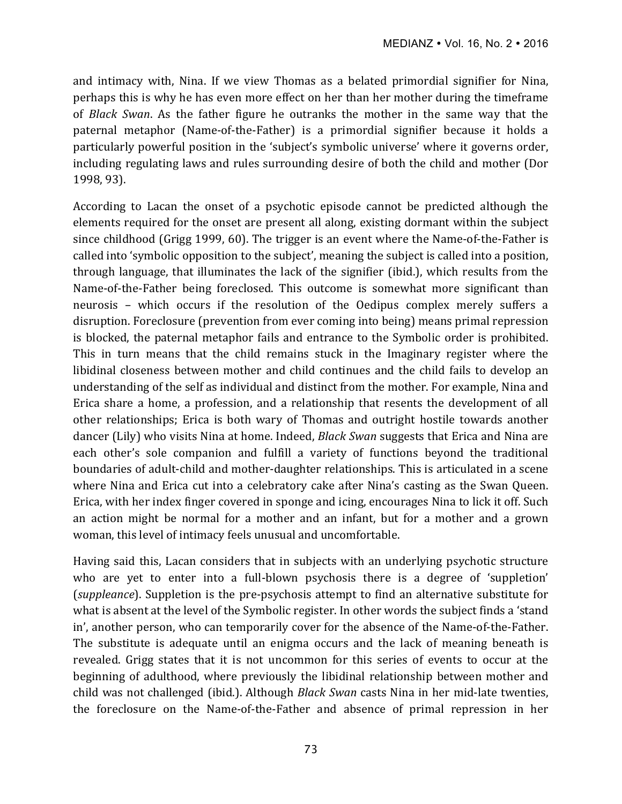and intimacy with, Nina. If we view Thomas as a belated primordial signifier for Nina, perhaps this is why he has even more effect on her than her mother during the timeframe of *Black Swan*. As the father figure he outranks the mother in the same way that the paternal metaphor (Name-of-the-Father) is a primordial signifier because it holds a particularly powerful position in the 'subject's symbolic universe' where it governs order, including regulating laws and rules surrounding desire of both the child and mother (Dor 1998, 93). 

According to Lacan the onset of a psychotic episode cannot be predicted although the elements required for the onset are present all along, existing dormant within the subject since childhood (Grigg 1999, 60). The trigger is an event where the Name-of-the-Father is called into 'symbolic opposition to the subject', meaning the subject is called into a position, through language, that illuminates the lack of the signifier (ibid.), which results from the Name-of-the-Father being foreclosed. This outcome is somewhat more significant than neurosis - which occurs if the resolution of the Oedipus complex merely suffers a disruption. Foreclosure (prevention from ever coming into being) means primal repression is blocked, the paternal metaphor fails and entrance to the Symbolic order is prohibited. This in turn means that the child remains stuck in the Imaginary register where the libidinal closeness between mother and child continues and the child fails to develop an understanding of the self as individual and distinct from the mother. For example, Nina and Erica share a home, a profession, and a relationship that resents the development of all other relationships; Erica is both wary of Thomas and outright hostile towards another dancer (Lily) who visits Nina at home. Indeed, *Black Swan* suggests that Erica and Nina are each other's sole companion and fulfill a variety of functions beyond the traditional boundaries of adult-child and mother-daughter relationships. This is articulated in a scene where Nina and Erica cut into a celebratory cake after Nina's casting as the Swan Queen. Erica, with her index finger covered in sponge and icing, encourages Nina to lick it off. Such an action might be normal for a mother and an infant, but for a mother and a grown woman, this level of intimacy feels unusual and uncomfortable.

Having said this, Lacan considers that in subjects with an underlying psychotic structure who are yet to enter into a full-blown psychosis there is a degree of 'suppletion' (*suppleance*). Suppletion is the pre-psychosis attempt to find an alternative substitute for what is absent at the level of the Symbolic register. In other words the subject finds a 'stand in', another person, who can temporarily cover for the absence of the Name-of-the-Father. The substitute is adequate until an enigma occurs and the lack of meaning beneath is revealed. Grigg states that it is not uncommon for this series of events to occur at the beginning of adulthood, where previously the libidinal relationship between mother and child was not challenged (ibid.). Although *Black Swan* casts Nina in her mid-late twenties, the foreclosure on the Name-of-the-Father and absence of primal repression in her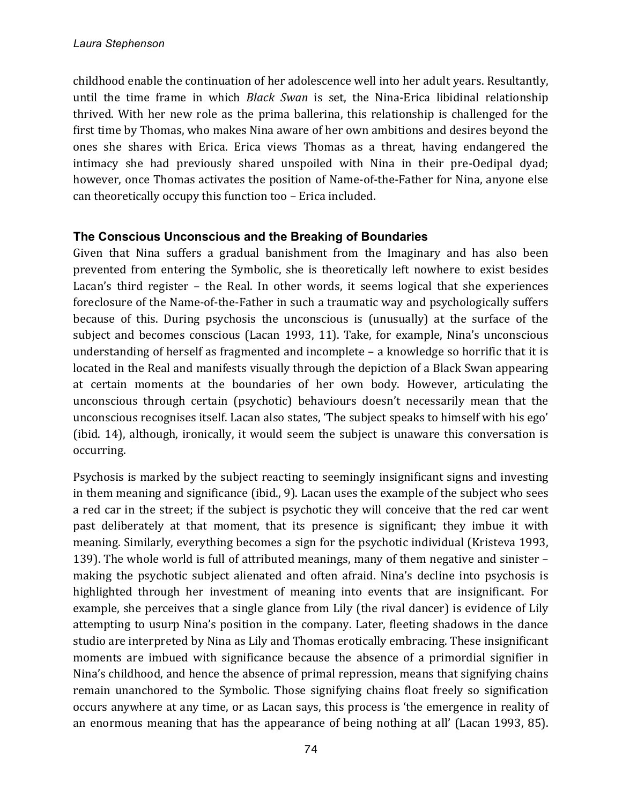childhood enable the continuation of her adolescence well into her adult years. Resultantly, until the time frame in which *Black Swan* is set, the Nina-Erica libidinal relationship thrived. With her new role as the prima ballerina, this relationship is challenged for the first time by Thomas, who makes Nina aware of her own ambitions and desires beyond the ones she shares with Erica. Erica views Thomas as a threat, having endangered the intimacy she had previously shared unspoiled with Nina in their pre-Oedipal dyad; however, once Thomas activates the position of Name-of-the-Father for Nina, anyone else can theoretically occupy this function too – Erica included.

## **The Conscious Unconscious and the Breaking of Boundaries**

Given that Nina suffers a gradual banishment from the Imaginary and has also been prevented from entering the Symbolic, she is theoretically left nowhere to exist besides Lacan's third register  $-$  the Real. In other words, it seems logical that she experiences foreclosure of the Name-of-the-Father in such a traumatic way and psychologically suffers because of this. During psychosis the unconscious is (unusually) at the surface of the subject and becomes conscious (Lacan 1993, 11). Take, for example, Nina's unconscious understanding of herself as fragmented and incomplete  $-$  a knowledge so horrific that it is located in the Real and manifests visually through the depiction of a Black Swan appearing at certain moments at the boundaries of her own body. However, articulating the unconscious through certain (psychotic) behaviours doesn't necessarily mean that the unconscious recognises itself. Lacan also states, 'The subject speaks to himself with his ego' (ibid.  $14$ ), although, ironically, it would seem the subject is unaware this conversation is occurring. 

Psychosis is marked by the subject reacting to seemingly insignificant signs and investing in them meaning and significance  $(i$ bid., 9). Lacan uses the example of the subject who sees a red car in the street; if the subject is psychotic they will conceive that the red car went past deliberately at that moment, that its presence is significant; they imbue it with meaning. Similarly, everything becomes a sign for the psychotic individual (Kristeva 1993, 139). The whole world is full of attributed meanings, many of them negative and sinister  $$ making the psychotic subject alienated and often afraid. Nina's decline into psychosis is highlighted through her investment of meaning into events that are insignificant. For example, she perceives that a single glance from Lily (the rival dancer) is evidence of Lily attempting to usurp Nina's position in the company. Later, fleeting shadows in the dance studio are interpreted by Nina as Lily and Thomas erotically embracing. These insignificant moments are imbued with significance because the absence of a primordial signifier in Nina's childhood, and hence the absence of primal repression, means that signifying chains remain unanchored to the Symbolic. Those signifying chains float freely so signification occurs anywhere at any time, or as Lacan says, this process is 'the emergence in reality of an enormous meaning that has the appearance of being nothing at all' (Lacan 1993, 85).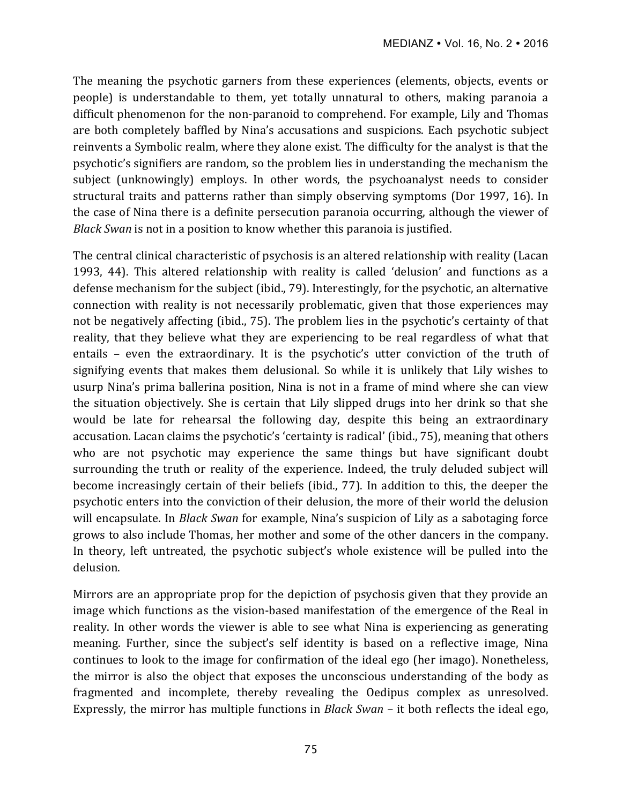The meaning the psychotic garners from these experiences (elements, objects, events or people) is understandable to them, yet totally unnatural to others, making paranoia a difficult phenomenon for the non-paranoid to comprehend. For example, Lily and Thomas are both completely baffled by Nina's accusations and suspicions. Each psychotic subject reinvents a Symbolic realm, where they alone exist. The difficulty for the analyst is that the psychotic's signifiers are random, so the problem lies in understanding the mechanism the subject (unknowingly) employs. In other words, the psychoanalyst needs to consider structural traits and patterns rather than simply observing symptoms (Dor 1997, 16). In the case of Nina there is a definite persecution paranoia occurring, although the viewer of *Black Swan* is not in a position to know whether this paranoia is justified.

The central clinical characteristic of psychosis is an altered relationship with reality (Lacan 1993, 44). This altered relationship with reality is called 'delusion' and functions as a defense mechanism for the subject (ibid., 79). Interestingly, for the psychotic, an alternative connection with reality is not necessarily problematic, given that those experiences may not be negatively affecting (ibid., 75). The problem lies in the psychotic's certainty of that reality, that they believe what they are experiencing to be real regardless of what that entails - even the extraordinary. It is the psychotic's utter conviction of the truth of signifying events that makes them delusional. So while it is unlikely that Lily wishes to usurp Nina's prima ballerina position, Nina is not in a frame of mind where she can view the situation objectively. She is certain that Lily slipped drugs into her drink so that she would be late for rehearsal the following day, despite this being an extraordinary accusation. Lacan claims the psychotic's 'certainty is radical' (ibid., 75), meaning that others who are not psychotic may experience the same things but have significant doubt surrounding the truth or reality of the experience. Indeed, the truly deluded subject will become increasingly certain of their beliefs (ibid., 77). In addition to this, the deeper the psychotic enters into the conviction of their delusion, the more of their world the delusion will encapsulate. In *Black Swan* for example, Nina's suspicion of Lily as a sabotaging force grows to also include Thomas, her mother and some of the other dancers in the company. In theory, left untreated, the psychotic subject's whole existence will be pulled into the delusion.

Mirrors are an appropriate prop for the depiction of psychosis given that they provide an image which functions as the vision-based manifestation of the emergence of the Real in reality. In other words the viewer is able to see what Nina is experiencing as generating meaning. Further, since the subject's self identity is based on a reflective image, Nina continues to look to the image for confirmation of the ideal ego (her imago). Nonetheless, the mirror is also the object that exposes the unconscious understanding of the body as fragmented and incomplete, thereby revealing the Oedipus complex as unresolved. Expressly, the mirror has multiple functions in *Black Swan* – it both reflects the ideal ego,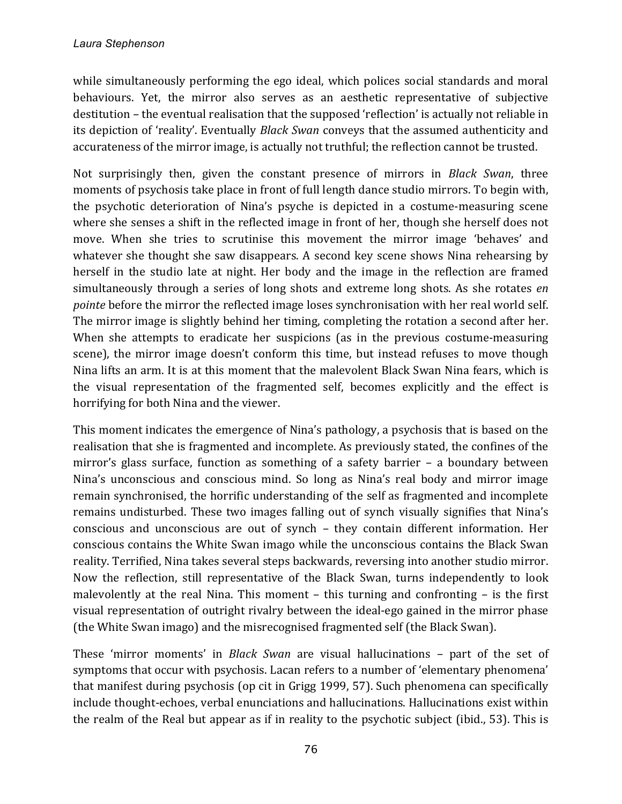while simultaneously performing the ego ideal, which polices social standards and moral behaviours. Yet, the mirror also serves as an aesthetic representative of subjective destitution – the eventual realisation that the supposed 'reflection' is actually not reliable in its depiction of 'reality'. Eventually *Black Swan* conveys that the assumed authenticity and accurateness of the mirror image, is actually not truthful; the reflection cannot be trusted.

Not surprisingly then, given the constant presence of mirrors in *Black Swan*, three moments of psychosis take place in front of full length dance studio mirrors. To begin with, the psychotic deterioration of Nina's psyche is depicted in a costume-measuring scene where she senses a shift in the reflected image in front of her, though she herself does not move. When she tries to scrutinise this movement the mirror image 'behaves' and whatever she thought she saw disappears. A second key scene shows Nina rehearsing by herself in the studio late at night. Her body and the image in the reflection are framed simultaneously through a series of long shots and extreme long shots. As she rotates *en pointe* before the mirror the reflected image loses synchronisation with her real world self. The mirror image is slightly behind her timing, completing the rotation a second after her. When she attempts to eradicate her suspicions (as in the previous costume-measuring scene), the mirror image doesn't conform this time, but instead refuses to move though Nina lifts an arm. It is at this moment that the malevolent Black Swan Nina fears, which is the visual representation of the fragmented self, becomes explicitly and the effect is horrifying for both Nina and the viewer.

This moment indicates the emergence of Nina's pathology, a psychosis that is based on the realisation that she is fragmented and incomplete. As previously stated, the confines of the mirror's glass surface, function as something of a safety barrier  $-$  a boundary between Nina's unconscious and conscious mind. So long as Nina's real body and mirror image remain synchronised, the horrific understanding of the self as fragmented and incomplete remains undisturbed. These two images falling out of synch visually signifies that Nina's conscious and unconscious are out of synch - they contain different information. Her conscious contains the White Swan imago while the unconscious contains the Black Swan reality. Terrified, Nina takes several steps backwards, reversing into another studio mirror. Now the reflection, still representative of the Black Swan, turns independently to look malevolently at the real Nina. This moment  $-$  this turning and confronting  $-$  is the first visual representation of outright rivalry between the ideal-ego gained in the mirror phase (the White Swan imago) and the misrecognised fragmented self (the Black Swan).

These 'mirror moments' in *Black Swan* are visual hallucinations - part of the set of symptoms that occur with psychosis. Lacan refers to a number of 'elementary phenomena' that manifest during psychosis (op cit in Grigg 1999, 57). Such phenomena can specifically include thought-echoes, verbal enunciations and hallucinations. Hallucinations exist within the realm of the Real but appear as if in reality to the psychotic subject (ibid., 53). This is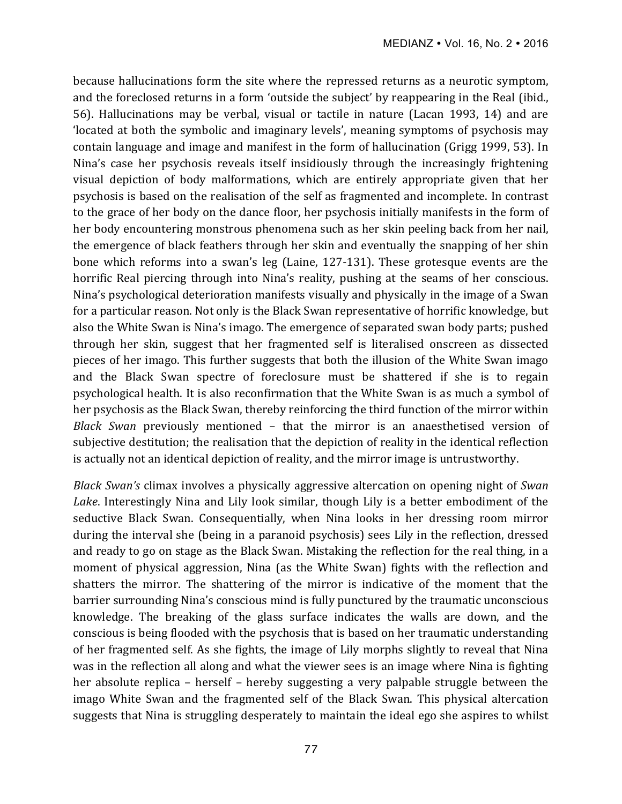because hallucinations form the site where the repressed returns as a neurotic symptom, and the foreclosed returns in a form 'outside the subject' by reappearing in the Real (ibid., 56). Hallucinations may be verbal, visual or tactile in nature (Lacan 1993, 14) and are 'located at both the symbolic and imaginary levels', meaning symptoms of psychosis may contain language and image and manifest in the form of hallucination (Grigg 1999, 53). In Nina's case her psychosis reveals itself insidiously through the increasingly frightening visual depiction of body malformations, which are entirely appropriate given that her psychosis is based on the realisation of the self as fragmented and incomplete. In contrast to the grace of her body on the dance floor, her psychosis initially manifests in the form of her body encountering monstrous phenomena such as her skin peeling back from her nail, the emergence of black feathers through her skin and eventually the snapping of her shin bone which reforms into a swan's leg (Laine, 127-131). These grotesque events are the horrific Real piercing through into Nina's reality, pushing at the seams of her conscious. Nina's psychological deterioration manifests visually and physically in the image of a Swan for a particular reason. Not only is the Black Swan representative of horrific knowledge, but also the White Swan is Nina's imago. The emergence of separated swan body parts; pushed through her skin, suggest that her fragmented self is literalised onscreen as dissected pieces of her imago. This further suggests that both the illusion of the White Swan imago and the Black Swan spectre of foreclosure must be shattered if she is to regain psychological health. It is also reconfirmation that the White Swan is as much a symbol of her psychosis as the Black Swan, thereby reinforcing the third function of the mirror within *Black Swan* previously mentioned - that the mirror is an anaesthetised version of subjective destitution; the realisation that the depiction of reality in the identical reflection is actually not an identical depiction of reality, and the mirror image is untrustworthy.

*Black Swan's* climax involves a physically aggressive altercation on opening night of *Swan* Lake. Interestingly Nina and Lily look similar, though Lily is a better embodiment of the seductive Black Swan. Consequentially, when Nina looks in her dressing room mirror during the interval she (being in a paranoid psychosis) sees Lily in the reflection, dressed and ready to go on stage as the Black Swan. Mistaking the reflection for the real thing, in a moment of physical aggression, Nina (as the White Swan) fights with the reflection and shatters the mirror. The shattering of the mirror is indicative of the moment that the barrier surrounding Nina's conscious mind is fully punctured by the traumatic unconscious knowledge. The breaking of the glass surface indicates the walls are down, and the conscious is being flooded with the psychosis that is based on her traumatic understanding of her fragmented self. As she fights, the image of Lily morphs slightly to reveal that Nina was in the reflection all along and what the viewer sees is an image where Nina is fighting her absolute replica – herself – hereby suggesting a very palpable struggle between the imago White Swan and the fragmented self of the Black Swan. This physical altercation suggests that Nina is struggling desperately to maintain the ideal ego she aspires to whilst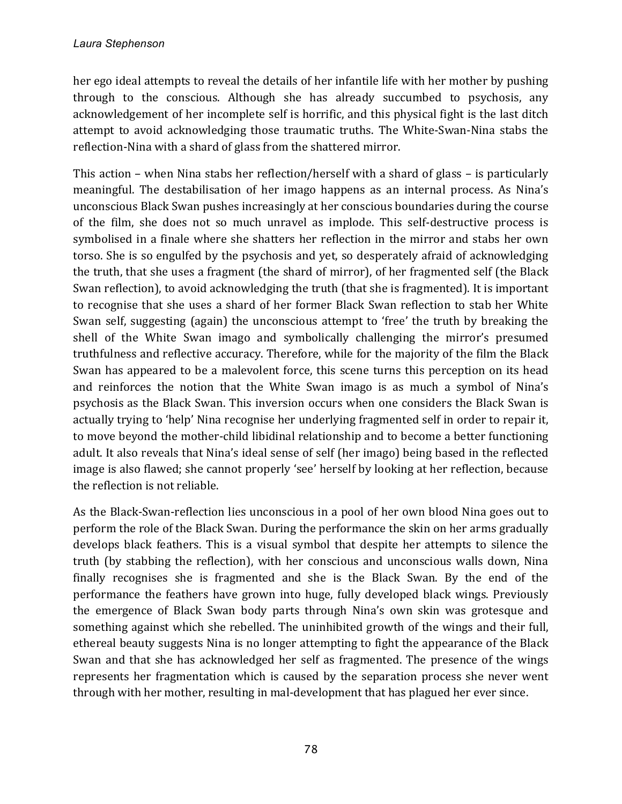her ego ideal attempts to reveal the details of her infantile life with her mother by pushing through to the conscious. Although she has already succumbed to psychosis, any acknowledgement of her incomplete self is horrific, and this physical fight is the last ditch attempt to avoid acknowledging those traumatic truths. The White-Swan-Nina stabs the reflection-Nina with a shard of glass from the shattered mirror.

This action – when Nina stabs her reflection/herself with a shard of glass – is particularly meaningful. The destabilisation of her imago happens as an internal process. As Nina's unconscious Black Swan pushes increasingly at her conscious boundaries during the course of the film, she does not so much unravel as implode. This self-destructive process is symbolised in a finale where she shatters her reflection in the mirror and stabs her own torso. She is so engulfed by the psychosis and yet, so desperately afraid of acknowledging the truth, that she uses a fragment (the shard of mirror), of her fragmented self (the Black Swan reflection), to avoid acknowledging the truth (that she is fragmented). It is important to recognise that she uses a shard of her former Black Swan reflection to stab her White Swan self, suggesting (again) the unconscious attempt to 'free' the truth by breaking the shell of the White Swan imago and symbolically challenging the mirror's presumed truthfulness and reflective accuracy. Therefore, while for the majority of the film the Black Swan has appeared to be a malevolent force, this scene turns this perception on its head and reinforces the notion that the White Swan imago is as much a symbol of Nina's psychosis as the Black Swan. This inversion occurs when one considers the Black Swan is actually trying to 'help' Nina recognise her underlying fragmented self in order to repair it, to move beyond the mother-child libidinal relationship and to become a better functioning adult. It also reveals that Nina's ideal sense of self (her imago) being based in the reflected image is also flawed; she cannot properly 'see' herself by looking at her reflection, because the reflection is not reliable.

As the Black-Swan-reflection lies unconscious in a pool of her own blood Nina goes out to perform the role of the Black Swan. During the performance the skin on her arms gradually develops black feathers. This is a visual symbol that despite her attempts to silence the truth (by stabbing the reflection), with her conscious and unconscious walls down, Nina finally recognises she is fragmented and she is the Black Swan. By the end of the performance the feathers have grown into huge, fully developed black wings. Previously the emergence of Black Swan body parts through Nina's own skin was grotesque and something against which she rebelled. The uninhibited growth of the wings and their full, ethereal beauty suggests Nina is no longer attempting to fight the appearance of the Black Swan and that she has acknowledged her self as fragmented. The presence of the wings represents her fragmentation which is caused by the separation process she never went through with her mother, resulting in mal-development that has plagued her ever since.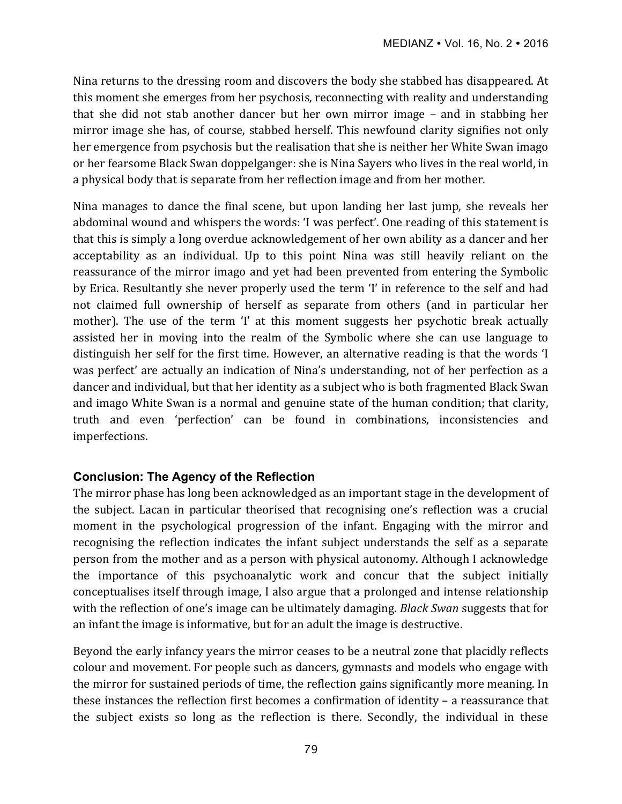Nina returns to the dressing room and discovers the body she stabbed has disappeared. At this moment she emerges from her psychosis, reconnecting with reality and understanding that she did not stab another dancer but her own mirror image – and in stabbing her mirror image she has, of course, stabbed herself. This newfound clarity signifies not only her emergence from psychosis but the realisation that she is neither her White Swan imago or her fearsome Black Swan doppelganger: she is Nina Sayers who lives in the real world, in a physical body that is separate from her reflection image and from her mother.

Nina manages to dance the final scene, but upon landing her last jump, she reveals her abdominal wound and whispers the words: 'I was perfect'. One reading of this statement is that this is simply a long overdue acknowledgement of her own ability as a dancer and her acceptability as an individual. Up to this point Nina was still heavily reliant on the reassurance of the mirror imago and yet had been prevented from entering the Symbolic by Erica. Resultantly she never properly used the term 'I' in reference to the self and had not claimed full ownership of herself as separate from others (and in particular her mother). The use of the term 'I' at this moment suggests her psychotic break actually assisted her in moving into the realm of the Symbolic where she can use language to distinguish her self for the first time. However, an alternative reading is that the words 'I was perfect' are actually an indication of Nina's understanding, not of her perfection as a dancer and individual, but that her identity as a subject who is both fragmented Black Swan and imago White Swan is a normal and genuine state of the human condition; that clarity, truth and even 'perfection' can be found in combinations, inconsistencies and imperfections. 

## **Conclusion: The Agency of the Reflection**

The mirror phase has long been acknowledged as an important stage in the development of the subject. Lacan in particular theorised that recognising one's reflection was a crucial moment in the psychological progression of the infant. Engaging with the mirror and recognising the reflection indicates the infant subject understands the self as a separate person from the mother and as a person with physical autonomy. Although I acknowledge the importance of this psychoanalytic work and concur that the subject initially conceptualises itself through image, I also argue that a prolonged and intense relationship with the reflection of one's image can be ultimately damaging. *Black Swan* suggests that for an infant the image is informative, but for an adult the image is destructive.

Beyond the early infancy years the mirror ceases to be a neutral zone that placidly reflects colour and movement. For people such as dancers, gymnasts and models who engage with the mirror for sustained periods of time, the reflection gains significantly more meaning. In these instances the reflection first becomes a confirmation of identity  $-$  a reassurance that the subject exists so long as the reflection is there. Secondly, the individual in these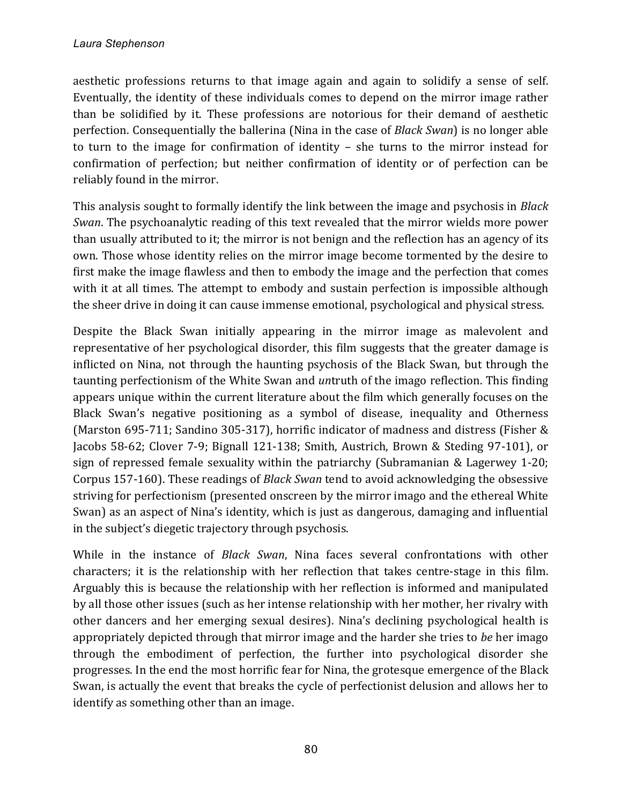aesthetic professions returns to that image again and again to solidify a sense of self. Eventually, the identity of these individuals comes to depend on the mirror image rather than be solidified by it. These professions are notorious for their demand of aesthetic perfection. Consequentially the ballerina (Nina in the case of *Black Swan*) is no longer able to turn to the image for confirmation of identity  $-$  she turns to the mirror instead for confirmation of perfection; but neither confirmation of identity or of perfection can be reliably found in the mirror.

This analysis sought to formally identify the link between the image and psychosis in *Black Swan*. The psychoanalytic reading of this text revealed that the mirror wields more power than usually attributed to it; the mirror is not benign and the reflection has an agency of its own. Those whose identity relies on the mirror image become tormented by the desire to first make the image flawless and then to embody the image and the perfection that comes with it at all times. The attempt to embody and sustain perfection is impossible although the sheer drive in doing it can cause immense emotional, psychological and physical stress.

Despite the Black Swan initially appearing in the mirror image as malevolent and representative of her psychological disorder, this film suggests that the greater damage is inflicted on Nina, not through the haunting psychosis of the Black Swan, but through the taunting perfectionism of the White Swan and *un*truth of the imago reflection. This finding appears unique within the current literature about the film which generally focuses on the Black Swan's negative positioning as a symbol of disease, inequality and Otherness (Marston 695-711; Sandino 305-317), horrific indicator of madness and distress (Fisher & Jacobs 58-62; Clover 7-9; Bignall 121-138; Smith, Austrich, Brown & Steding 97-101), or sign of repressed female sexuality within the patriarchy (Subramanian & Lagerwey 1-20; Corpus 157-160). These readings of *Black Swan* tend to avoid acknowledging the obsessive striving for perfectionism (presented onscreen by the mirror imago and the ethereal White Swan) as an aspect of Nina's identity, which is just as dangerous, damaging and influential in the subject's diegetic trajectory through psychosis.

While in the instance of *Black Swan*, Nina faces several confrontations with other characters; it is the relationship with her reflection that takes centre-stage in this film. Arguably this is because the relationship with her reflection is informed and manipulated by all those other issues (such as her intense relationship with her mother, her rivalry with other dancers and her emerging sexual desires). Nina's declining psychological health is appropriately depicted through that mirror image and the harder she tries to *be* her imago through the embodiment of perfection, the further into psychological disorder she progresses. In the end the most horrific fear for Nina, the grotesque emergence of the Black Swan, is actually the event that breaks the cycle of perfectionist delusion and allows her to identify as something other than an image.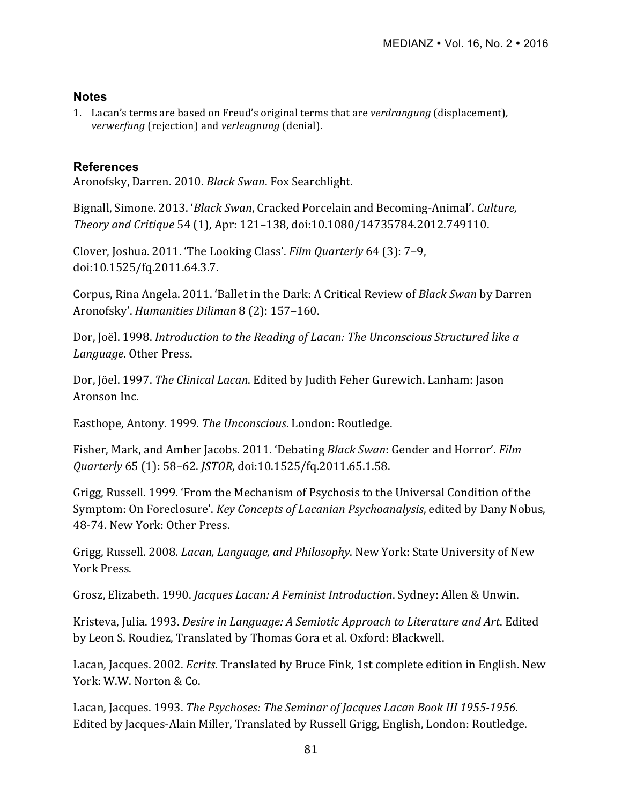## **Notes**

1. Lacan's terms are based on Freud's original terms that are *verdrangung* (displacement), *verwerfung* (rejection) and *verleugnung* (denial).

# **References**

Aronofsky, Darren. 2010. *Black Swan*. Fox Searchlight.

Bignall, Simone. 2013. '*Black Swan*, Cracked Porcelain and Becoming-Animal'. *Culture*, *Theory and Critique* 54 (1), Apr: 121–138, doi:10.1080/14735784.2012.749110.

Clover, Joshua. 2011. 'The Looking Class'. *Film Quarterly* 64 (3): 7-9, doi:10.1525/fq.2011.64.3.7.

Corpus, Rina Angela. 2011. 'Ballet in the Dark: A Critical Review of *Black Swan* by Darren Aronofsky'. *Humanities Diliman* 8 (2): 157-160.

Dor, Joël. 1998. *Introduction to the Reading of Lacan: The Unconscious Structured like a Language*. Other Press.

Dor, Jöel. 1997. *The Clinical Lacan*. Edited by Judith Feher Gurewich. Lanham: Jason Aronson Inc.

Easthope, Antony. 1999. *The Unconscious*. London: Routledge.

Fisher, Mark, and Amber Jacobs. 2011. 'Debating *Black Swan*: Gender and Horror'. *Film Quarterly* 65 (1): 58–62. *JSTOR*, doi:10.1525/fq.2011.65.1.58.

Grigg, Russell. 1999. 'From the Mechanism of Psychosis to the Universal Condition of the Symptom: On Foreclosure'. *Key Concepts of Lacanian Psychoanalysis*, edited by Dany Nobus, 48-74. New York: Other Press.

Grigg, Russell. 2008. *Lacan, Language, and Philosophy*. New York: State University of New York Press.

Grosz, Elizabeth. 1990. *Jacques Lacan: A Feminist Introduction*. Sydney: Allen & Unwin.

Kristeva, Julia. 1993. *Desire in Language: A Semiotic Approach to Literature and Art*. Edited by Leon S. Roudiez, Translated by Thomas Gora et al. Oxford: Blackwell.

Lacan, Jacques. 2002. *Ecrits*. Translated by Bruce Fink, 1st complete edition in English. New York: W.W. Norton & Co.

Lacan, Jacques. 1993. *The Psychoses: The Seminar of Jacques Lacan Book III 1955-1956*. Edited by Jacques-Alain Miller, Translated by Russell Grigg, English, London: Routledge.